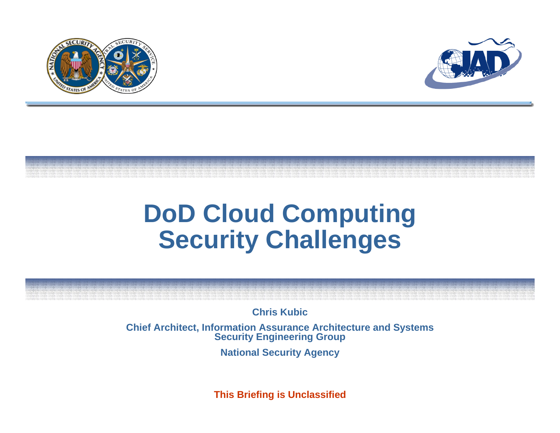



## **DoD Cloud Computing Security Challenges**

**Chris Kubic** 

**Chief Architect, Information Assurance Architecture and Systems Security Engineering Group**

**National Security Agency**

**This Briefing is Unclassified**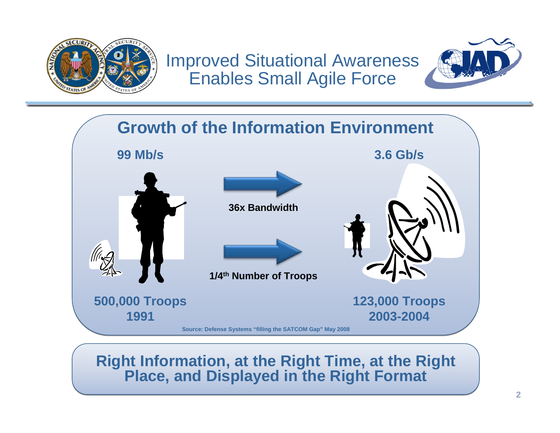

Improved Situational Awareness Enables Small Agile Force





## **Right Information, at the Right Time, at the Right Right Information, at the Right Time, at the Right Place, and Displayed in the Right Format Place, and Displayed in the Right Format**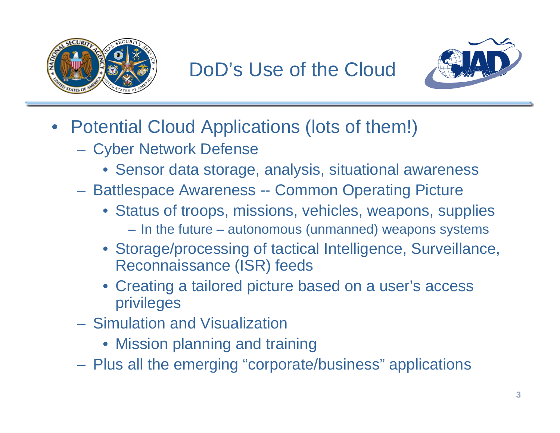



- Potential Cloud Applications (lots of them!)
	- Cyber Network Defense
		- Sensor data storage, analysis, situational awareness
	- Battlespace Awareness -- Common Operating Picture
		- Status of troops, missions, vehicles, weapons, supplies – In the future – autonomous (unmanned) weapons systems
		- Storage/processing of tactical Intelligence, Surveillance, Reconnaissance (ISR) feeds
		- Creating a tailored picture based on a user's access privileges
	- Simulation and Visualization
		- Mission planning and training
	- Plus all the emerging "corporate/business" applications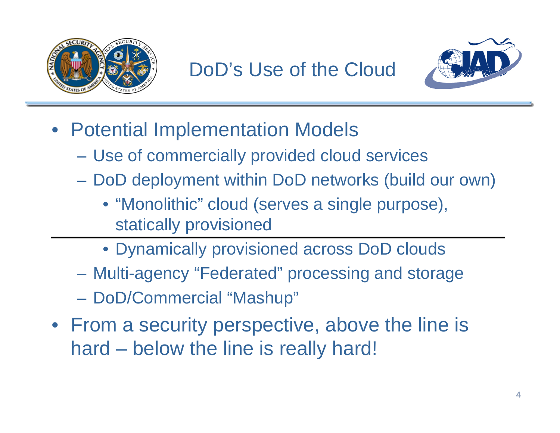



- Potential Implementation Models
	- Use of commercially provided cloud services
	- DoD deployment within DoD networks (build our own)
		- "Monolithic" cloud (serves a single purpose), statically provisioned
		- Dynamically provisioned across DoD clouds
	- Multi-agency "Federated" processing and storage
	- DoD/Commercial "Mashup"
- From a security perspective, above the line is hard – below the line is really hard!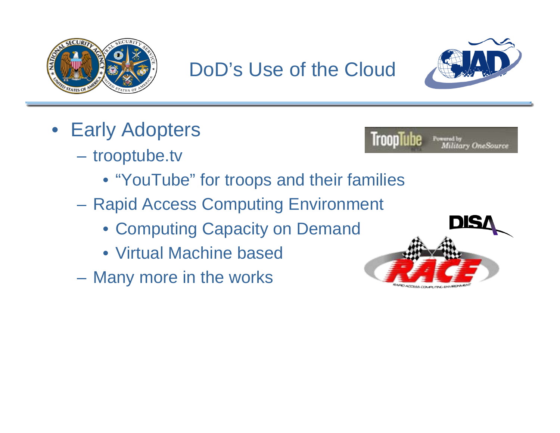





- Early Adopters
	- trooptube.tv



- "YouTube" for troops and their families
- Rapid Access Computing Environment
	- Computing Capacity on Demand
	- Virtual Machine based
- Many more in the works

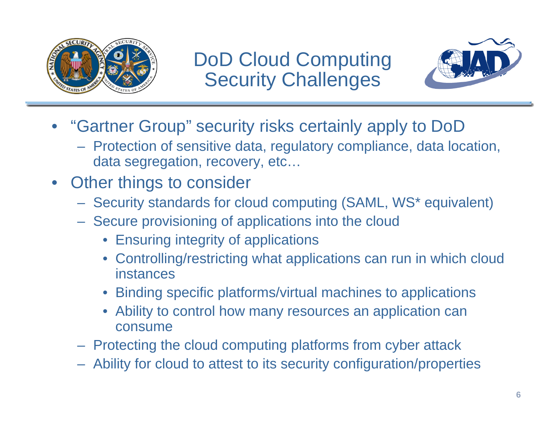

DoD Cloud Computing Security Challenges



- "Gartner Group" security risks certainly apply to DoD
	- Protection of sensitive data, regulatory compliance, data location, data segregation, recovery, etc…
- Other things to consider
	- Security standards for cloud computing (SAML, WS\* equivalent)
	- Secure provisioning of applications into the cloud
		- Ensuring integrity of applications
		- Controlling/restricting what applications can run in which cloud instances
		- Binding specific platforms/virtual machines to applications
		- Ability to control how many resources an application can consume
	- Protecting the cloud computing platforms from cyber attack
	- Ability for cloud to attest to its security configuration/properties